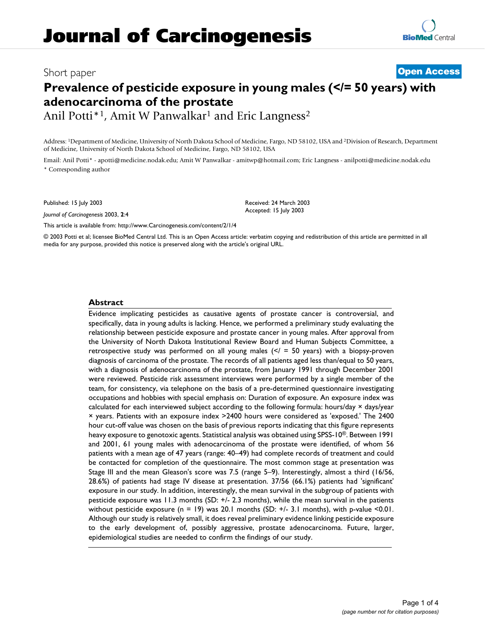# Short paper **[Open Access](http://www.biomedcentral.com/info/about/charter/) Prevalence of pesticide exposure in young males (</= 50 years) with adenocarcinoma of the prostate**

Anil Potti<sup>\*1</sup>, Amit W Panwalkar<sup>1</sup> and Eric Langness<sup>2</sup>

Address: 1Department of Medicine, University of North Dakota School of Medicine, Fargo, ND 58102, USA and 2Division of Research, Department of Medicine, University of North Dakota School of Medicine, Fargo, ND 58102, USA

Email: Anil Potti\* - apotti@medicine.nodak.edu; Amit W Panwalkar - amitwp@hotmail.com; Eric Langness - anilpotti@medicine.nodak.edu \* Corresponding author

Published: 15 July 2003

*Journal of Carcinogenesis* 2003, **2**:4

Received: 24 March 2003 Accepted: 15 July 2003

[This article is available from: http://www.Carcinogenesis.com/content/2/1/4](http://www.Carcinogenesis.com/content/2/1/4)

© 2003 Potti et al; licensee BioMed Central Ltd. This is an Open Access article: verbatim copying and redistribution of this article are permitted in all media for any purpose, provided this notice is preserved along with the article's original URL.

#### **Abstract**

Evidence implicating pesticides as causative agents of prostate cancer is controversial, and specifically, data in young adults is lacking. Hence, we performed a preliminary study evaluating the relationship between pesticide exposure and prostate cancer in young males. After approval from the University of North Dakota Institutional Review Board and Human Subjects Committee, a retrospective study was performed on all young males  $\leq$  = 50 years) with a biopsy-proven diagnosis of carcinoma of the prostate. The records of all patients aged less than/equal to 50 years, with a diagnosis of adenocarcinoma of the prostate, from January 1991 through December 2001 were reviewed. Pesticide risk assessment interviews were performed by a single member of the team, for consistency, via telephone on the basis of a pre-determined questionnaire investigating occupations and hobbies with special emphasis on: Duration of exposure. An exposure index was calculated for each interviewed subject according to the following formula: hours/day × days/year × years. Patients with an exposure index >2400 hours were considered as 'exposed.' The 2400 hour cut-off value was chosen on the basis of previous reports indicating that this figure represents heavy exposure to genotoxic agents. Statistical analysis was obtained using SPSS-10®. Between 1991 and 2001, 61 young males with adenocarcinoma of the prostate were identified, of whom 56 patients with a mean age of 47 years (range: 40–49) had complete records of treatment and could be contacted for completion of the questionnaire. The most common stage at presentation was Stage III and the mean Gleason's score was 7.5 (range 5–9). Interestingly, almost a third (16/56, 28.6%) of patients had stage IV disease at presentation. 37/56 (66.1%) patients had 'significant' exposure in our study. In addition, interestingly, the mean survival in the subgroup of patients with pesticide exposure was 11.3 months (SD: +/- 2.3 months), while the mean survival in the patients without pesticide exposure (n = 19) was 20.1 months (SD:  $+/-$  3.1 months), with p-value <0.01. Although our study is relatively small, it does reveal preliminary evidence linking pesticide exposure to the early development of, possibly aggressive, prostate adenocarcinoma. Future, larger, epidemiological studies are needed to confirm the findings of our study.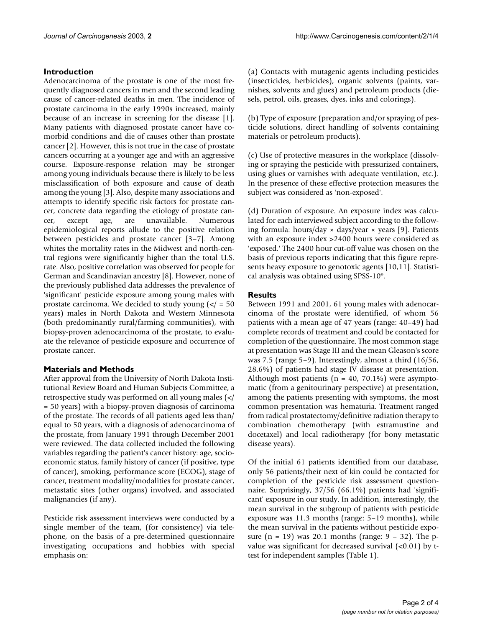### **Introduction**

Adenocarcinoma of the prostate is one of the most frequently diagnosed cancers in men and the second leading cause of cancer-related deaths in men. The incidence of prostate carcinoma in the early 1990s increased, mainly because of an increase in screening for the disease [1]. Many patients with diagnosed prostate cancer have comorbid conditions and die of causes other than prostate cancer [2]. However, this is not true in the case of prostate cancers occurring at a younger age and with an aggressive course. Exposure-response relation may be stronger among young individuals because there is likely to be less misclassification of both exposure and cause of death among the young [3]. Also, despite many associations and attempts to identify specific risk factors for prostate cancer, concrete data regarding the etiology of prostate cancer, except age, are unavailable. Numerous epidemiological reports allude to the positive relation between pesticides and prostate cancer [3–7]. Among whites the mortality rates in the Midwest and north-central regions were significantly higher than the total U.S. rate. Also, positive correlation was observed for people for German and Scandinavian ancestry [8]. However, none of the previously published data addresses the prevalence of 'significant' pesticide exposure among young males with prostate carcinoma. We decided to study young  $\left\langle \epsilon \right\rangle = 50$ years) males in North Dakota and Western Minnesota (both predominantly rural/farming communities), with biopsy-proven adenocarcinoma of the prostate, to evaluate the relevance of pesticide exposure and occurrence of prostate cancer.

#### **Materials and Methods**

After approval from the University of North Dakota Institutional Review Board and Human Subjects Committee, a retrospective study was performed on all young males (</ = 50 years) with a biopsy-proven diagnosis of carcinoma of the prostate. The records of all patients aged less than/ equal to 50 years, with a diagnosis of adenocarcinoma of the prostate, from January 1991 through December 2001 were reviewed. The data collected included the following variables regarding the patient's cancer history: age, socioeconomic status, family history of cancer (if positive, type of cancer), smoking, performance score (ECOG), stage of cancer, treatment modality/modalities for prostate cancer, metastatic sites (other organs) involved, and associated malignancies (if any).

Pesticide risk assessment interviews were conducted by a single member of the team, (for consistency) via telephone, on the basis of a pre-determined questionnaire investigating occupations and hobbies with special emphasis on:

(a) Contacts with mutagenic agents including pesticides (insecticides, herbicides), organic solvents (paints, varnishes, solvents and glues) and petroleum products (diesels, petrol, oils, greases, dyes, inks and colorings).

(b) Type of exposure (preparation and/or spraying of pesticide solutions, direct handling of solvents containing materials or petroleum products).

(c) Use of protective measures in the workplace (dissolving or spraying the pesticide with pressurized containers, using glues or varnishes with adequate ventilation, etc.). In the presence of these effective protection measures the subject was considered as 'non-exposed'.

(d) Duration of exposure. An exposure index was calculated for each interviewed subject according to the following formula: hours/day  $\times$  days/year  $\times$  years [9]. Patients with an exposure index >2400 hours were considered as 'exposed.' The 2400 hour cut-off value was chosen on the basis of previous reports indicating that this figure represents heavy exposure to genotoxic agents [10,11]. Statistical analysis was obtained using SPSS-10®.

# **Results**

Between 1991 and 2001, 61 young males with adenocarcinoma of the prostate were identified, of whom 56 patients with a mean age of 47 years (range: 40–49) had complete records of treatment and could be contacted for completion of the questionnaire. The most common stage at presentation was Stage III and the mean Gleason's score was 7.5 (range 5–9). Interestingly, almost a third (16/56, 28.6%) of patients had stage IV disease at presentation. Although most patients ( $n = 40$ , 70.1%) were asymptomatic (from a genitourinary perspective) at presentation, among the patients presenting with symptoms, the most common presentation was hematuria. Treatment ranged from radical prostatectomy/definitive radiation therapy to combination chemotherapy (with estramustine and docetaxel) and local radiotherapy (for bony metastatic disease years).

Of the initial 61 patients identified from our database, only 56 patients/their next of kin could be contacted for completion of the pesticide risk assessment questionnaire. Surprisingly, 37/56 (66.1%) patients had 'significant' exposure in our study. In addition, interestingly, the mean survival in the subgroup of patients with pesticide exposure was 11.3 months (range: 5–19 months), while the mean survival in the patients without pesticide exposure  $(n = 19)$  was 20.1 months (range:  $9 - 32$ ). The pvalue was significant for decreased survival  $(<0.01$ ) by ttest for independent samples (Table [1\)](#page-2-0).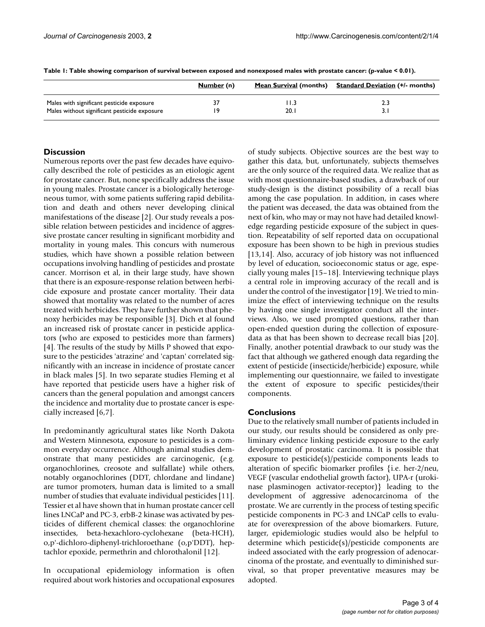|                                              | Number (n) |      | Mean Survival (months) Standard Deviation (+/- months) |
|----------------------------------------------|------------|------|--------------------------------------------------------|
| Males with significant pesticide exposure    | 37         |      | 2.3                                                    |
| Males without significant pesticide exposure | ١۹         | 20.1 | 3.1                                                    |

<span id="page-2-0"></span>**Table 1: Table showing comparison of survival between exposed and nonexposed males with prostate cancer: (p-value < 0.01).**

# **Discussion**

Numerous reports over the past few decades have equivocally described the role of pesticides as an etiologic agent for prostate cancer. But, none specifically address the issue in young males. Prostate cancer is a biologically heterogeneous tumor, with some patients suffering rapid debilitation and death and others never developing clinical manifestations of the disease [2]. Our study reveals a possible relation between pesticides and incidence of aggressive prostate cancer resulting in significant morbidity and mortality in young males. This concurs with numerous studies, which have shown a possible relation between occupations involving handling of pesticides and prostate cancer. Morrison et al, in their large study, have shown that there is an exposure-response relation between herbicide exposure and prostate cancer mortality. Their data showed that mortality was related to the number of acres treated with herbicides. They have further shown that phenoxy herbicides may be responsible [3]. Dich et al found an increased risk of prostate cancer in pesticide applicators (who are exposed to pesticides more than farmers) [4]. The results of the study by Mills P showed that exposure to the pesticides 'atrazine' and 'captan' correlated significantly with an increase in incidence of prostate cancer in black males [5]. In two separate studies Fleming et al have reported that pesticide users have a higher risk of cancers than the general population and amongst cancers the incidence and mortality due to prostate cancer is especially increased [6,7].

In predominantly agricultural states like North Dakota and Western Minnesota, exposure to pesticides is a common everyday occurrence. Although animal studies demonstrate that many pesticides are carcinogenic, (e.g. organochlorines, creosote and sulfallate) while others, notably organochlorines (DDT, chlordane and lindane) are tumor promoters, human data is limited to a small number of studies that evaluate individual pesticides [11]. Tessier et al have shown that in human prostate cancer cell lines LNCaP and PC-3, erbB-2 kinase was activated by pesticides of different chemical classes: the organochlorine insectides, beta-hexachloro-cyclohexane (beta-HCH), o,p'-dichloro-diphenyl-trichloroethane (o,p'DDT), heptachlor epoxide, permethrin and chlorothalonil [12].

In occupational epidemiology information is often required about work histories and occupational exposures of study subjects. Objective sources are the best way to gather this data, but, unfortunately, subjects themselves are the only source of the required data. We realize that as with most questionnaire-based studies, a drawback of our study-design is the distinct possibility of a recall bias among the case population. In addition, in cases where the patient was deceased, the data was obtained from the next of kin, who may or may not have had detailed knowledge regarding pesticide exposure of the subject in question. Repeatability of self reported data on occupational exposure has been shown to be high in previous studies [13,14]. Also, accuracy of job history was not influenced by level of education, socioeconomic status or age, especially young males [15–18]. Interviewing technique plays a central role in improving accuracy of the recall and is under the control of the investigator [19]. We tried to minimize the effect of interviewing technique on the results by having one single investigator conduct all the interviews. Also, we used prompted questions, rather than open-ended question during the collection of exposuredata as that has been shown to decrease recall bias [20]. Finally, another potential drawback to our study was the fact that although we gathered enough data regarding the extent of pesticide (insecticide/herbicide) exposure, while implementing our questionnaire, we failed to investigate the extent of exposure to specific pesticides/their components.

# **Conclusions**

Due to the relatively small number of patients included in our study, our results should be considered as only preliminary evidence linking pesticide exposure to the early development of prostatic carcinoma. It is possible that exposure to pesticide(s)/pesticide components leads to alteration of specific biomarker profiles {i.e. her-2/neu, VEGF (vascular endothelial growth factor), UPA-r (urokinase plasminogen activator-receptor)} leading to the development of aggressive adenocarcinoma of the prostate. We are currently in the process of testing specific pesticide components in PC-3 and LNCaP cells to evaluate for overexpression of the above biomarkers. Future, larger, epidemiologic studies would also be helpful to determine which pesticide(s)/pesticide components are indeed associated with the early progression of adenocarcinoma of the prostate, and eventually to diminished survival, so that proper preventative measures may be adopted.